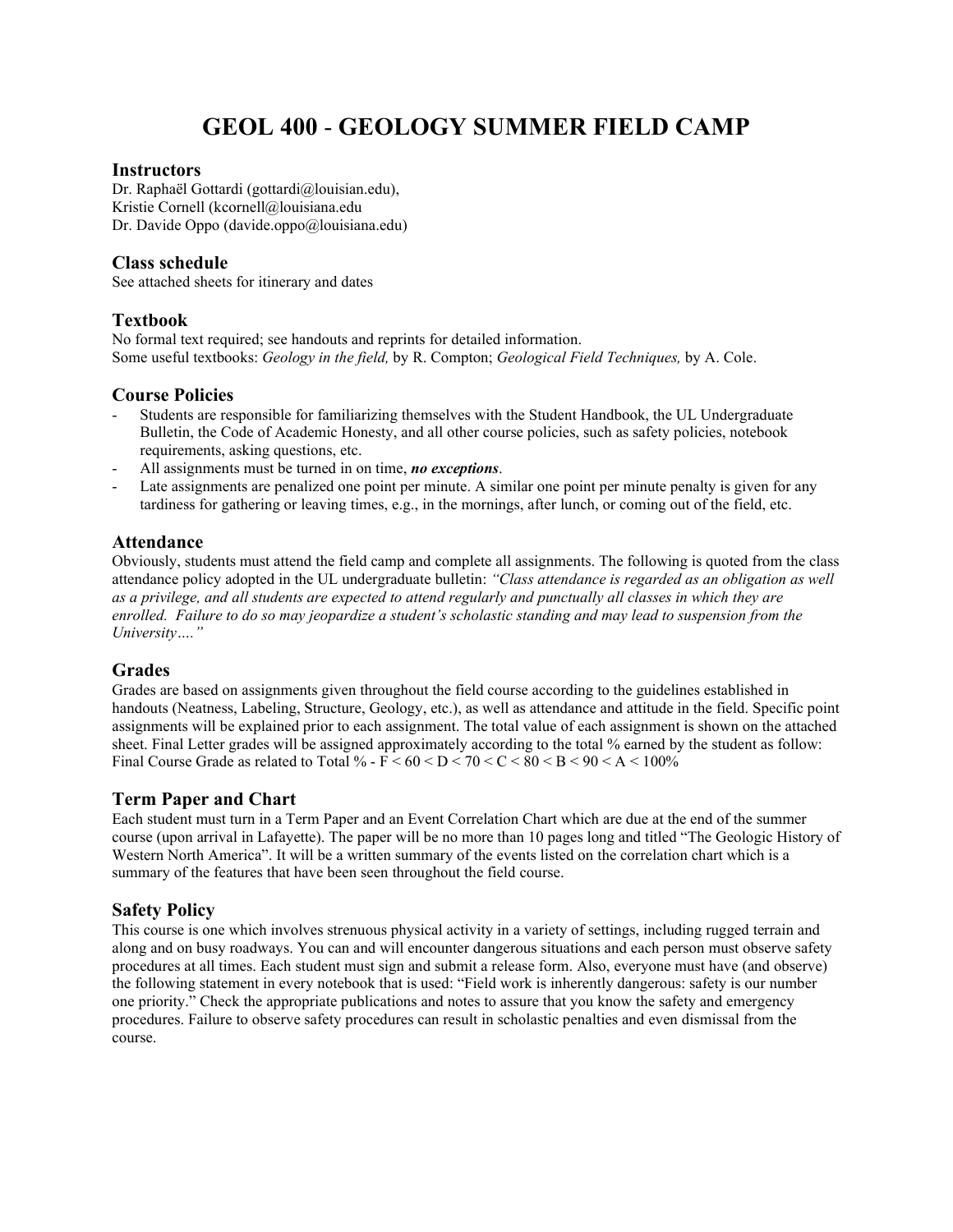# **GEOL 400** - **GEOLOGY SUMMER FIELD CAMP**

#### **Instructors**

Dr. Raphaël Gottardi (gottardi@louisian.edu), Kristie Cornell (kcornell@louisiana.edu Dr. Davide Oppo (davide.oppo@louisiana.edu)

#### **Class schedule**

See attached sheets for itinerary and dates

# **Textbook**

No formal text required; see handouts and reprints for detailed information. Some useful textbooks: *Geology in the field,* by R. Compton; *Geological Field Techniques,* by A. Cole.

## **Course Policies**

- Students are responsible for familiarizing themselves with the Student Handbook, the UL Undergraduate Bulletin, the Code of Academic Honesty, and all other course policies, such as safety policies, notebook requirements, asking questions, etc.
- All assignments must be turned in on time, *no exceptions*.
- Late assignments are penalized one point per minute. A similar one point per minute penalty is given for any tardiness for gathering or leaving times, e.g., in the mornings, after lunch, or coming out of the field, etc.

#### **Attendance**

Obviously, students must attend the field camp and complete all assignments. The following is quoted from the class attendance policy adopted in the UL undergraduate bulletin: *"Class attendance is regarded as an obligation as well as a privilege, and all students are expected to attend regularly and punctually all classes in which they are enrolled. Failure to do so may jeopardize a student's scholastic standing and may lead to suspension from the University…."*

#### **Grades**

Grades are based on assignments given throughout the field course according to the guidelines established in handouts (Neatness, Labeling, Structure, Geology, etc.), as well as attendance and attitude in the field. Specific point assignments will be explained prior to each assignment. The total value of each assignment is shown on the attached sheet. Final Letter grades will be assigned approximately according to the total % earned by the student as follow: Final Course Grade as related to Total % -  $\overline{F}$  < 60 <  $\overline{D}$  < 70 <  $\overline{C}$  < 80 <  $\overline{B}$  < 90 <  $\overline{A}$  < 100%

## **Term Paper and Chart**

Each student must turn in a Term Paper and an Event Correlation Chart which are due at the end of the summer course (upon arrival in Lafayette). The paper will be no more than 10 pages long and titled "The Geologic History of Western North America". It will be a written summary of the events listed on the correlation chart which is a summary of the features that have been seen throughout the field course.

## **Safety Policy**

This course is one which involves strenuous physical activity in a variety of settings, including rugged terrain and along and on busy roadways. You can and will encounter dangerous situations and each person must observe safety procedures at all times. Each student must sign and submit a release form. Also, everyone must have (and observe) the following statement in every notebook that is used: "Field work is inherently dangerous: safety is our number one priority." Check the appropriate publications and notes to assure that you know the safety and emergency procedures. Failure to observe safety procedures can result in scholastic penalties and even dismissal from the course.